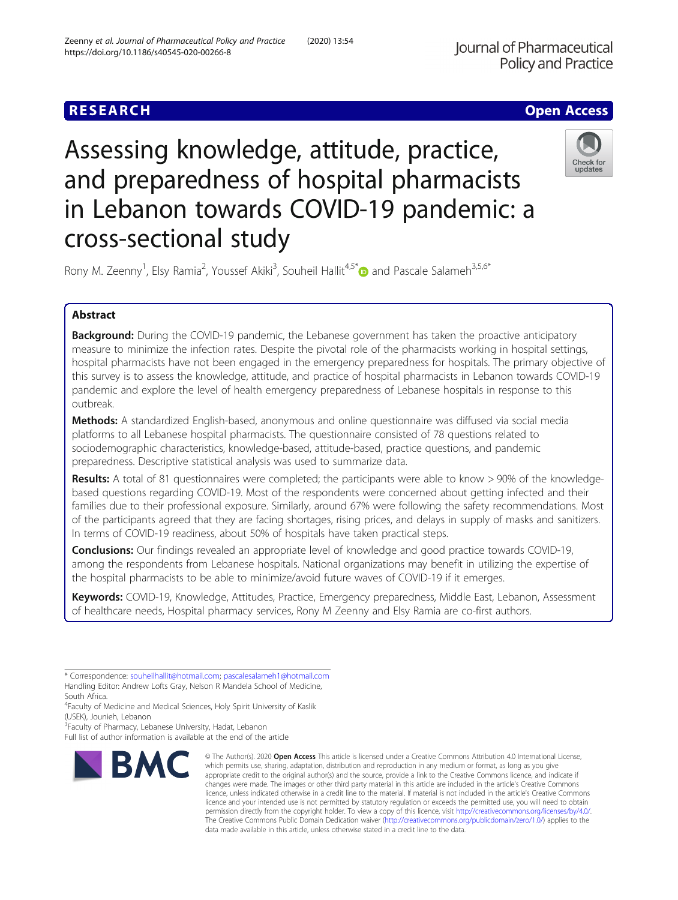# **RESEARCH CHE Open Access**

# Assessing knowledge, attitude, practice, and preparedness of hospital pharmacists in Lebanon towards COVID-19 pandemic: a cross-sectional study



Rony M. Zeenny<sup>1</sup>, Elsy Ramia<sup>2</sup>, Youssef Akiki<sup>3</sup>, Souheil Hallit<sup>4,5\*</sup> and Pascale Salameh<sup>3,5,6\*</sup>

# Abstract

**Background:** During the COVID-19 pandemic, the Lebanese government has taken the proactive anticipatory measure to minimize the infection rates. Despite the pivotal role of the pharmacists working in hospital settings, hospital pharmacists have not been engaged in the emergency preparedness for hospitals. The primary objective of this survey is to assess the knowledge, attitude, and practice of hospital pharmacists in Lebanon towards COVID-19 pandemic and explore the level of health emergency preparedness of Lebanese hospitals in response to this outbreak.

Methods: A standardized English-based, anonymous and online questionnaire was diffused via social media platforms to all Lebanese hospital pharmacists. The questionnaire consisted of 78 questions related to sociodemographic characteristics, knowledge-based, attitude-based, practice questions, and pandemic preparedness. Descriptive statistical analysis was used to summarize data.

Results: A total of 81 questionnaires were completed; the participants were able to know > 90% of the knowledgebased questions regarding COVID-19. Most of the respondents were concerned about getting infected and their families due to their professional exposure. Similarly, around 67% were following the safety recommendations. Most of the participants agreed that they are facing shortages, rising prices, and delays in supply of masks and sanitizers. In terms of COVID-19 readiness, about 50% of hospitals have taken practical steps.

**Conclusions:** Our findings revealed an appropriate level of knowledge and good practice towards COVID-19, among the respondents from Lebanese hospitals. National organizations may benefit in utilizing the expertise of the hospital pharmacists to be able to minimize/avoid future waves of COVID-19 if it emerges.

Keywords: COVID-19, Knowledge, Attitudes, Practice, Emergency preparedness, Middle East, Lebanon, Assessment of healthcare needs, Hospital pharmacy services, Rony M Zeenny and Elsy Ramia are co-first authors.

\* Correspondence: [souheilhallit@hotmail.com](mailto:souheilhallit@hotmail.com); [pascalesalameh1@hotmail.com](mailto:pascalesalameh1@hotmail.com) Handling Editor: Andrew Lofts Gray, Nelson R Mandela School of Medicine, South Africa.

<sup>4</sup> Faculty of Medicine and Medical Sciences, Holy Spirit University of Kaslik (USEK), Jounieh, Lebanon

<sup>3</sup> Faculty of Pharmacy, Lebanese University, Hadat, Lebanon

Full list of author information is available at the end of the article



<sup>©</sup> The Author(s), 2020 **Open Access** This article is licensed under a Creative Commons Attribution 4.0 International License, which permits use, sharing, adaptation, distribution and reproduction in any medium or format, as long as you give appropriate credit to the original author(s) and the source, provide a link to the Creative Commons licence, and indicate if changes were made. The images or other third party material in this article are included in the article's Creative Commons licence, unless indicated otherwise in a credit line to the material. If material is not included in the article's Creative Commons licence and your intended use is not permitted by statutory regulation or exceeds the permitted use, you will need to obtain permission directly from the copyright holder. To view a copy of this licence, visit [http://creativecommons.org/licenses/by/4.0/.](http://creativecommons.org/licenses/by/4.0/) The Creative Commons Public Domain Dedication waiver [\(http://creativecommons.org/publicdomain/zero/1.0/](http://creativecommons.org/publicdomain/zero/1.0/)) applies to the data made available in this article, unless otherwise stated in a credit line to the data.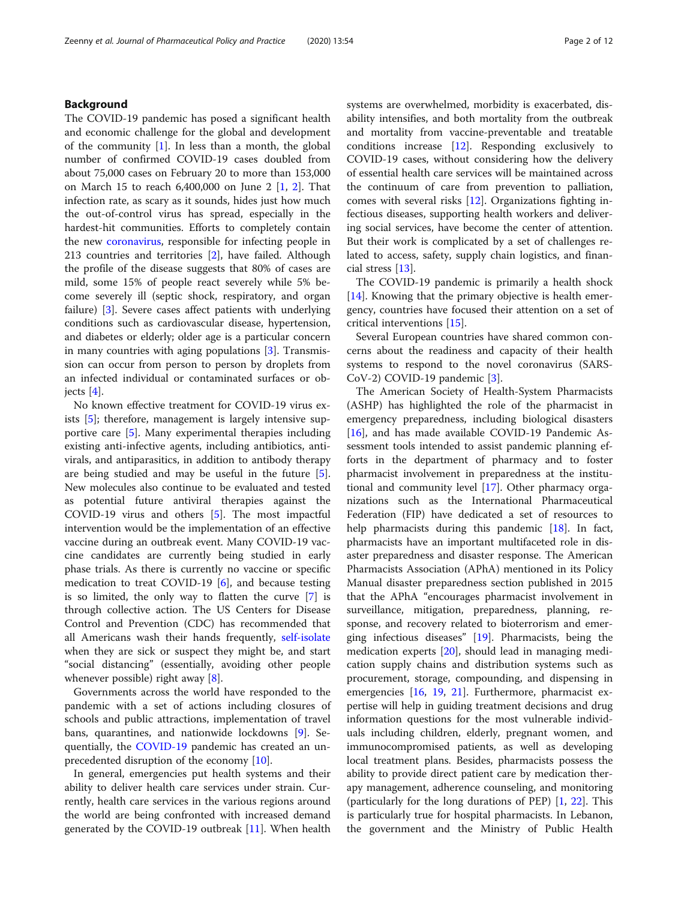#### Background

The COVID-19 pandemic has posed a significant health and economic challenge for the global and development of the community  $[1]$  $[1]$  $[1]$ . In less than a month, the global number of confirmed COVID-19 cases doubled from about 75,000 cases on February 20 to more than 153,000 on March 15 to reach 6,400,000 on June 2 [[1,](#page-10-0) [2\]](#page-10-0). That infection rate, as scary as it sounds, hides just how much the out-of-control virus has spread, especially in the hardest-hit communities. Efforts to completely contain the new [coronavirus,](https://www.livescience.com/coronavirus-updates-united-states.html) responsible for infecting people in 213 countries and territories [[2\]](#page-10-0), have failed. Although the profile of the disease suggests that 80% of cases are mild, some 15% of people react severely while 5% become severely ill (septic shock, respiratory, and organ failure) [[3\]](#page-10-0). Severe cases affect patients with underlying conditions such as cardiovascular disease, hypertension, and diabetes or elderly; older age is a particular concern in many countries with aging populations [\[3](#page-10-0)]. Transmission can occur from person to person by droplets from an infected individual or contaminated surfaces or objects [[4\]](#page-10-0).

No known effective treatment for COVID-19 virus exists [\[5](#page-10-0)]; therefore, management is largely intensive supportive care [\[5](#page-10-0)]. Many experimental therapies including existing anti-infective agents, including antibiotics, antivirals, and antiparasitics, in addition to antibody therapy are being studied and may be useful in the future [\[5](#page-10-0)]. New molecules also continue to be evaluated and tested as potential future antiviral therapies against the COVID-19 virus and others [[5\]](#page-10-0). The most impactful intervention would be the implementation of an effective vaccine during an outbreak event. Many COVID-19 vaccine candidates are currently being studied in early phase trials. As there is currently no vaccine or specific medication to treat COVID-19 [[6\]](#page-10-0), and because testing is so limited, the only way to flatten the curve [\[7](#page-10-0)] is through collective action. The US Centers for Disease Control and Prevention (CDC) has recommended that all Americans wash their hands frequently, [self-isolate](https://www.livescience.com/coronavirus-how-to-self-quarantine.html) when they are sick or suspect they might be, and start "social distancing" (essentially, avoiding other people whenever possible) right away  $[8]$  $[8]$ .

Governments across the world have responded to the pandemic with a set of actions including closures of schools and public attractions, implementation of travel bans, quarantines, and nationwide lockdowns [[9\]](#page-10-0). Sequentially, the [COVID-19](https://www.devex.com/focus/covid-19?access_key=) pandemic has created an unprecedented disruption of the economy [\[10](#page-10-0)].

In general, emergencies put health systems and their ability to deliver health care services under strain. Currently, health care services in the various regions around the world are being confronted with increased demand generated by the COVID-19 outbreak [[11\]](#page-10-0). When health systems are overwhelmed, morbidity is exacerbated, disability intensifies, and both mortality from the outbreak and mortality from vaccine-preventable and treatable conditions increase [[12](#page-10-0)]. Responding exclusively to COVID-19 cases, without considering how the delivery of essential health care services will be maintained across the continuum of care from prevention to palliation, comes with several risks [[12](#page-10-0)]. Organizations fighting infectious diseases, supporting health workers and delivering social services, have become the center of attention. But their work is complicated by a set of challenges related to access, safety, supply chain logistics, and financial stress [\[13](#page-10-0)].

The COVID-19 pandemic is primarily a health shock [[14\]](#page-10-0). Knowing that the primary objective is health emergency, countries have focused their attention on a set of critical interventions [\[15\]](#page-10-0).

Several European countries have shared common concerns about the readiness and capacity of their health systems to respond to the novel coronavirus (SARS-CoV-2) COVID-19 pandemic [[3](#page-10-0)].

The American Society of Health-System Pharmacists (ASHP) has highlighted the role of the pharmacist in emergency preparedness, including biological disasters [[16\]](#page-10-0), and has made available COVID-19 Pandemic Assessment tools intended to assist pandemic planning efforts in the department of pharmacy and to foster pharmacist involvement in preparedness at the institutional and community level [\[17](#page-10-0)]. Other pharmacy organizations such as the International Pharmaceutical Federation (FIP) have dedicated a set of resources to help pharmacists during this pandemic [[18\]](#page-10-0). In fact, pharmacists have an important multifaceted role in disaster preparedness and disaster response. The American Pharmacists Association (APhA) mentioned in its Policy Manual disaster preparedness section published in 2015 that the APhA "encourages pharmacist involvement in surveillance, mitigation, preparedness, planning, response, and recovery related to bioterrorism and emerging infectious diseases" [[19\]](#page-10-0). Pharmacists, being the medication experts [[20\]](#page-10-0), should lead in managing medication supply chains and distribution systems such as procurement, storage, compounding, and dispensing in emergencies [\[16,](#page-10-0) [19,](#page-10-0) [21\]](#page-10-0). Furthermore, pharmacist expertise will help in guiding treatment decisions and drug information questions for the most vulnerable individuals including children, elderly, pregnant women, and immunocompromised patients, as well as developing local treatment plans. Besides, pharmacists possess the ability to provide direct patient care by medication therapy management, adherence counseling, and monitoring (particularly for the long durations of PEP) [\[1,](#page-10-0) [22](#page-10-0)]. This is particularly true for hospital pharmacists. In Lebanon, the government and the Ministry of Public Health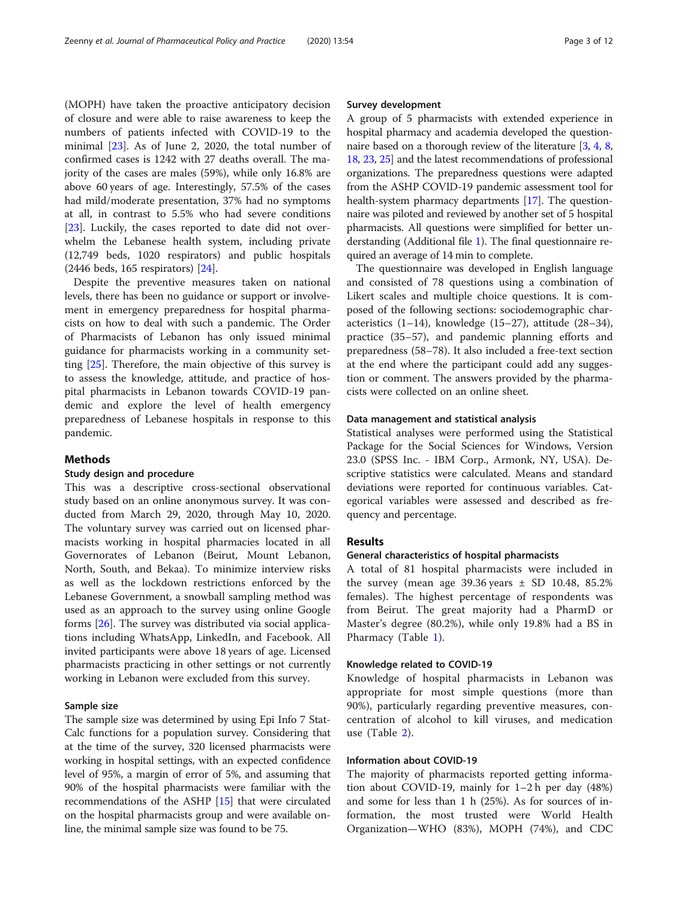(MOPH) have taken the proactive anticipatory decision of closure and were able to raise awareness to keep the numbers of patients infected with COVID-19 to the minimal [\[23\]](#page-10-0). As of June 2, 2020, the total number of confirmed cases is 1242 with 27 deaths overall. The majority of the cases are males (59%), while only 16.8% are above 60 years of age. Interestingly, 57.5% of the cases had mild/moderate presentation, 37% had no symptoms at all, in contrast to 5.5% who had severe conditions [[23\]](#page-10-0). Luckily, the cases reported to date did not overwhelm the Lebanese health system, including private (12,749 beds, 1020 respirators) and public hospitals (2446 beds, 165 respirators) [\[24](#page-10-0)].

Despite the preventive measures taken on national levels, there has been no guidance or support or involvement in emergency preparedness for hospital pharmacists on how to deal with such a pandemic. The Order of Pharmacists of Lebanon has only issued minimal guidance for pharmacists working in a community setting [\[25](#page-11-0)]. Therefore, the main objective of this survey is to assess the knowledge, attitude, and practice of hospital pharmacists in Lebanon towards COVID-19 pandemic and explore the level of health emergency preparedness of Lebanese hospitals in response to this pandemic.

#### Methods

#### Study design and procedure

This was a descriptive cross-sectional observational study based on an online anonymous survey. It was conducted from March 29, 2020, through May 10, 2020. The voluntary survey was carried out on licensed pharmacists working in hospital pharmacies located in all Governorates of Lebanon (Beirut, Mount Lebanon, North, South, and Bekaa). To minimize interview risks as well as the lockdown restrictions enforced by the Lebanese Government, a snowball sampling method was used as an approach to the survey using online Google forms [\[26](#page-11-0)]. The survey was distributed via social applications including WhatsApp, LinkedIn, and Facebook. All invited participants were above 18 years of age. Licensed pharmacists practicing in other settings or not currently working in Lebanon were excluded from this survey.

#### Sample size

The sample size was determined by using Epi Info 7 Stat-Calc functions for a population survey. Considering that at the time of the survey, 320 licensed pharmacists were working in hospital settings, with an expected confidence level of 95%, a margin of error of 5%, and assuming that 90% of the hospital pharmacists were familiar with the recommendations of the ASHP [\[15\]](#page-10-0) that were circulated on the hospital pharmacists group and were available online, the minimal sample size was found to be 75.

#### Survey development

A group of 5 pharmacists with extended experience in hospital pharmacy and academia developed the question-naire based on a thorough review of the literature [[3,](#page-10-0) [4,](#page-10-0) [8](#page-10-0), [18](#page-10-0), [23,](#page-10-0) [25](#page-11-0)] and the latest recommendations of professional organizations. The preparedness questions were adapted from the ASHP COVID-19 pandemic assessment tool for health-system pharmacy departments [[17\]](#page-10-0). The questionnaire was piloted and reviewed by another set of 5 hospital pharmacists. All questions were simplified for better understanding (Additional file [1\)](#page-10-0). The final questionnaire required an average of 14 min to complete.

The questionnaire was developed in English language and consisted of 78 questions using a combination of Likert scales and multiple choice questions. It is composed of the following sections: sociodemographic characteristics  $(1-14)$ , knowledge  $(15-27)$ , attitude  $(28-34)$ , practice (35–57), and pandemic planning efforts and preparedness (58–78). It also included a free-text section at the end where the participant could add any suggestion or comment. The answers provided by the pharmacists were collected on an online sheet.

#### Data management and statistical analysis

Statistical analyses were performed using the Statistical Package for the Social Sciences for Windows, Version 23.0 (SPSS Inc. - IBM Corp., Armonk, NY, USA). Descriptive statistics were calculated. Means and standard deviations were reported for continuous variables. Categorical variables were assessed and described as frequency and percentage.

#### Results

#### General characteristics of hospital pharmacists

A total of 81 hospital pharmacists were included in the survey (mean age  $39.36$  years  $\pm$  SD 10.48, 85.2% females). The highest percentage of respondents was from Beirut. The great majority had a PharmD or Master's degree (80.2%), while only 19.8% had a BS in Pharmacy (Table [1](#page-3-0)).

#### Knowledge related to COVID-19

Knowledge of hospital pharmacists in Lebanon was appropriate for most simple questions (more than 90%), particularly regarding preventive measures, concentration of alcohol to kill viruses, and medication use (Table [2](#page-4-0)).

#### Information about COVID-19

The majority of pharmacists reported getting information about COVID-19, mainly for 1–2 h per day (48%) and some for less than 1 h (25%). As for sources of information, the most trusted were World Health Organization—WHO (83%), MOPH (74%), and CDC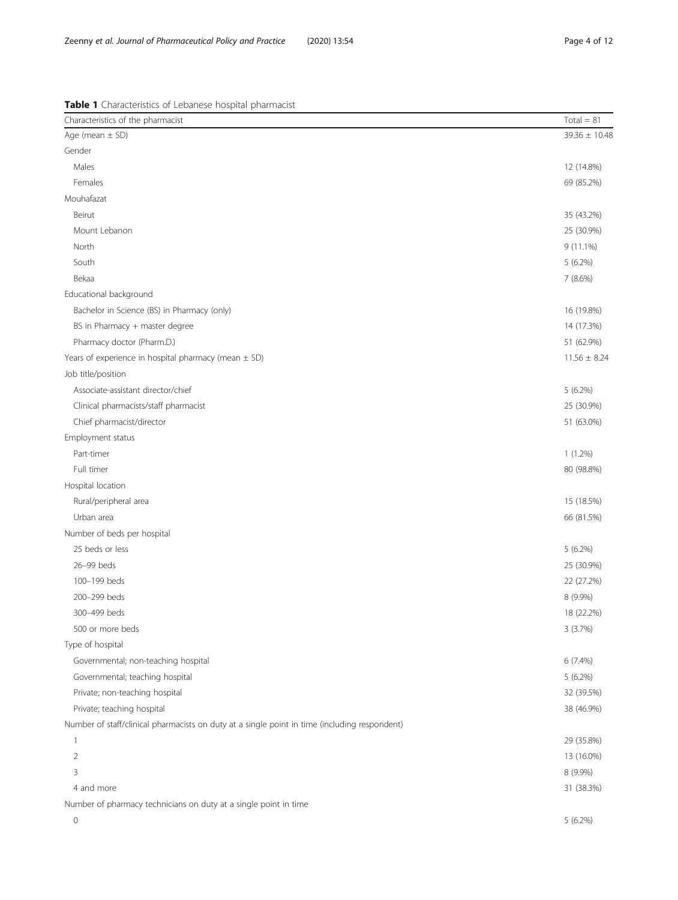<span id="page-3-0"></span>Zeenny et al. Journal of Pharmaceutical Policy and Practice (2020) 13:54 Page 4 of 12

# Table 1 Characteristics of Lebanese hospital pharmacist

| Characteristics of the pharmacist                                                             | $Total = 81$     |
|-----------------------------------------------------------------------------------------------|------------------|
| Age (mean $\pm$ SD)                                                                           | 39.36 ± 10.48    |
| Gender                                                                                        |                  |
| Males                                                                                         | 12 (14.8%)       |
| Females                                                                                       | 69 (85.2%)       |
| Mouhafazat                                                                                    |                  |
| Beirut                                                                                        | 35 (43.2%)       |
| Mount Lebanon                                                                                 | 25 (30.9%)       |
| North                                                                                         | 9 (11.1%)        |
| South                                                                                         | $5(6.2\%)$       |
| Bekaa                                                                                         | 7 (8.6%)         |
| Educational background                                                                        |                  |
| Bachelor in Science (BS) in Pharmacy (only)                                                   | 16 (19.8%)       |
| BS in Pharmacy + master degree                                                                | 14 (17.3%)       |
| Pharmacy doctor (Pharm.D.)                                                                    | 51 (62.9%)       |
| Years of experience in hospital pharmacy (mean $\pm$ SD)                                      | $11.56 \pm 8.24$ |
| Job title/position                                                                            |                  |
| Associate-assistant director/chief                                                            | $5(6.2\%)$       |
| Clinical pharmacists/staff pharmacist                                                         | 25 (30.9%)       |
| Chief pharmacist/director                                                                     | 51 (63.0%)       |
| Employment status                                                                             |                  |
| Part-timer                                                                                    | $1(1.2\%)$       |
| Full timer                                                                                    | 80 (98.8%)       |
| Hospital location                                                                             |                  |
| Rural/peripheral area                                                                         | 15 (18.5%)       |
| Urban area                                                                                    | 66 (81.5%)       |
| Number of beds per hospital                                                                   |                  |
| 25 beds or less                                                                               | $5(6.2\%)$       |
| 26-99 beds                                                                                    | 25 (30.9%)       |
| 100-199 beds                                                                                  | 22 (27.2%)       |
| 200-299 beds                                                                                  | 8 (9.9%)         |
| 300-499 beds                                                                                  | 18 (22.2%)       |
| 500 or more beds                                                                              | 3 (3.7%)         |
| Type of hospital                                                                              |                  |
| Governmental; non-teaching hospital                                                           | 6 (7.4%)         |
| Governmental; teaching hospital                                                               | $5(6.2\%)$       |
| Private; non-teaching hospital                                                                | 32 (39.5%)       |
| Private; teaching hospital                                                                    | 38 (46.9%)       |
| Number of staff/clinical pharmacists on duty at a single point in time (including respondent) |                  |
| 1                                                                                             | 29 (35.8%)       |
| $\overline{2}$                                                                                | 13 (16.0%)       |
| 3                                                                                             | 8 (9.9%)         |
| 4 and more                                                                                    | 31 (38.3%)       |
| Number of pharmacy technicians on duty at a single point in time                              |                  |
| 0                                                                                             | 5 (6.2%)         |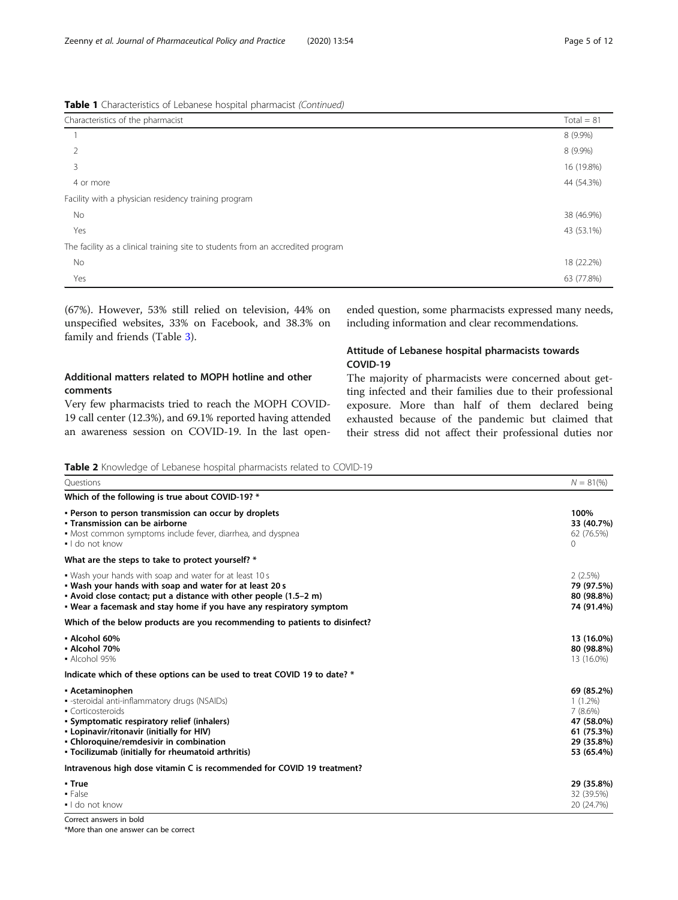<span id="page-4-0"></span>

| Table 1 Characteristics of Lebanese hospital pharmacist (Continued) |  |  |
|---------------------------------------------------------------------|--|--|

| Characteristics of the pharmacist                                               | $Total = 81$ |
|---------------------------------------------------------------------------------|--------------|
|                                                                                 | 8 (9.9%)     |
|                                                                                 | 8 (9.9%)     |
| 3                                                                               | 16 (19.8%)   |
| 4 or more                                                                       | 44 (54.3%)   |
| Facility with a physician residency training program                            |              |
| No                                                                              | 38 (46.9%)   |
| Yes                                                                             | 43 (53.1%)   |
| The facility as a clinical training site to students from an accredited program |              |
| No                                                                              | 18 (22.2%)   |
| Yes                                                                             | 63 (77.8%)   |

(67%). However, 53% still relied on television, 44% on unspecified websites, 33% on Facebook, and 38.3% on family and friends (Table [3](#page-5-0)).

#### Additional matters related to MOPH hotline and other comments

Very few pharmacists tried to reach the MOPH COVID-19 call center (12.3%), and 69.1% reported having attended an awareness session on COVID-19. In the last openended question, some pharmacists expressed many needs, including information and clear recommendations.

### Attitude of Lebanese hospital pharmacists towards COVID-19

The majority of pharmacists were concerned about getting infected and their families due to their professional exposure. More than half of them declared being exhausted because of the pandemic but claimed that their stress did not affect their professional duties nor

Table 2 Knowledge of Lebanese hospital pharmacists related to COVID-19

| rano medige or Ecodricoe noophar pridimacious related<br>Ouestions                                                                                                                                                                                                                 | $N = 81\%$                                                                                  |
|------------------------------------------------------------------------------------------------------------------------------------------------------------------------------------------------------------------------------------------------------------------------------------|---------------------------------------------------------------------------------------------|
|                                                                                                                                                                                                                                                                                    |                                                                                             |
| Which of the following is true about COVID-19? *                                                                                                                                                                                                                                   |                                                                                             |
| . Person to person transmission can occur by droplets<br>• Transmission can be airborne<br>• Most common symptoms include fever, diarrhea, and dyspnea<br>$\blacksquare$ I do not know                                                                                             | 100%<br>33 (40.7%)<br>62 (76.5%)<br>$\Omega$                                                |
| What are the steps to take to protect yourself? *                                                                                                                                                                                                                                  |                                                                                             |
| . Wash your hands with soap and water for at least 10 s<br>. Wash your hands with soap and water for at least 20 s<br>• Avoid close contact; put a distance with other people (1.5–2 m)<br>. Wear a facemask and stay home if you have any respiratory symptom                     | 2(2.5%)<br>79 (97.5%)<br>80 (98.8%)<br>74 (91.4%)                                           |
| Which of the below products are you recommending to patients to disinfect?                                                                                                                                                                                                         |                                                                                             |
| • Alcohol 60%<br>• Alcohol 70%<br>$\bullet$ Alcohol 95%                                                                                                                                                                                                                            | 13 (16.0%)<br>80 (98.8%)<br>13 (16.0%)                                                      |
| Indicate which of these options can be used to treat COVID 19 to date? *                                                                                                                                                                                                           |                                                                                             |
| • Acetaminophen<br>- -steroidal anti-inflammatory drugs (NSAIDs)<br>• Corticosteroids<br>· Symptomatic respiratory relief (inhalers)<br>• Lopinavir/ritonavir (initially for HIV)<br>• Chloroquine/remdesivir in combination<br>• Tocilizumab (initially for rheumatoid arthritis) | 69 (85.2%)<br>$1(1.2\%)$<br>7(8.6%)<br>47 (58.0%)<br>61 (75.3%)<br>29 (35.8%)<br>53 (65.4%) |
| Intravenous high dose vitamin C is recommended for COVID 19 treatment?                                                                                                                                                                                                             |                                                                                             |
| • True<br>$- False$<br>• I do not know                                                                                                                                                                                                                                             | 29 (35.8%)<br>32 (39.5%)<br>20 (24.7%)                                                      |
| Correct answers in hold                                                                                                                                                                                                                                                            |                                                                                             |

\*More than one answer can be correct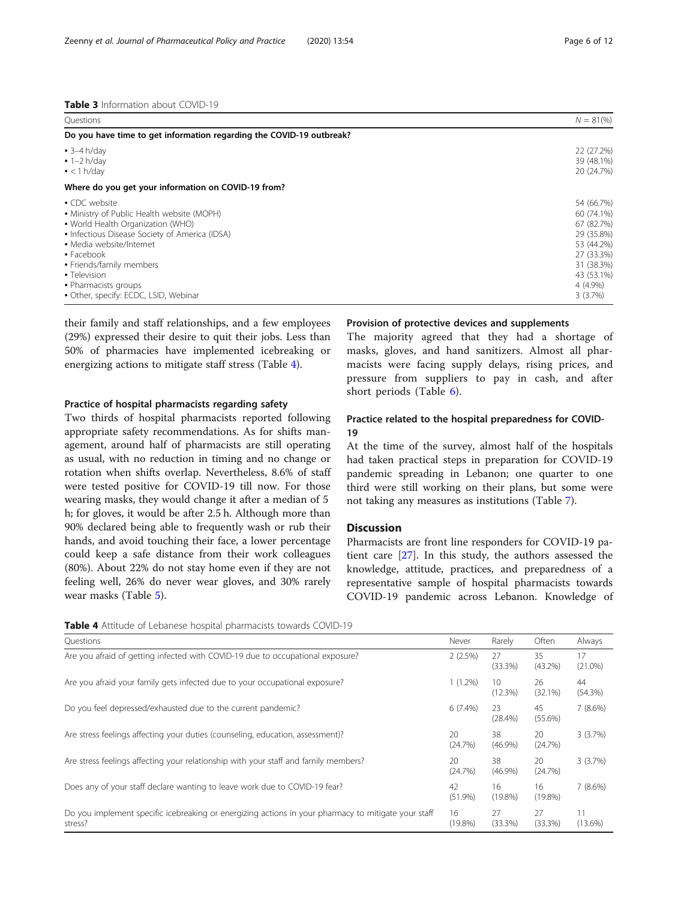<span id="page-5-0"></span>Table 3 Information about COVID-19

| Ouestions                                                            | $N = 81\%$ |
|----------------------------------------------------------------------|------------|
| Do you have time to get information regarding the COVID-19 outbreak? |            |
| $-3-4 h/day$                                                         | 22 (27.2%) |
| $-1-2 h/day$                                                         | 39 (48.1%) |
| $\bullet$ < 1 h/day                                                  | 20 (24.7%) |
| Where do you get your information on COVID-19 from?                  |            |
| • CDC website                                                        | 54 (66.7%) |
| • Ministry of Public Health website (MOPH)                           | 60 (74.1%) |
| • World Health Organization (WHO)                                    | 67 (82.7%) |
| • Infectious Disease Society of America (IDSA)                       | 29 (35.8%) |
| • Media website/Internet                                             | 53 (44.2%) |
| $\blacksquare$ Facebook                                              | 27 (33.3%) |
| • Friends/family members                                             | 31 (38.3%) |
| • Television                                                         | 43 (53.1%) |
| • Pharmacists groups                                                 | 4 (4.9%)   |
| • Other, specify: ECDC, LSID, Webinar                                | 3(3.7%)    |

their family and staff relationships, and a few employees (29%) expressed their desire to quit their jobs. Less than 50% of pharmacies have implemented icebreaking or energizing actions to mitigate staff stress (Table 4).

#### Practice of hospital pharmacists regarding safety

Two thirds of hospital pharmacists reported following appropriate safety recommendations. As for shifts management, around half of pharmacists are still operating as usual, with no reduction in timing and no change or rotation when shifts overlap. Nevertheless, 8.6% of staff were tested positive for COVID-19 till now. For those wearing masks, they would change it after a median of 5 h; for gloves, it would be after 2.5 h. Although more than 90% declared being able to frequently wash or rub their hands, and avoid touching their face, a lower percentage could keep a safe distance from their work colleagues (80%). About 22% do not stay home even if they are not feeling well, 26% do never wear gloves, and 30% rarely wear masks (Table [5\)](#page-6-0).

#### Provision of protective devices and supplements

The majority agreed that they had a shortage of masks, gloves, and hand sanitizers. Almost all pharmacists were facing supply delays, rising prices, and pressure from suppliers to pay in cash, and after short periods (Table [6](#page-6-0)).

#### Practice related to the hospital preparedness for COVID-19

At the time of the survey, almost half of the hospitals had taken practical steps in preparation for COVID-19 pandemic spreading in Lebanon; one quarter to one third were still working on their plans, but some were not taking any measures as institutions (Table [7\)](#page-7-0).

#### **Discussion**

Pharmacists are front line responders for COVID-19 patient care [[27\]](#page-11-0). In this study, the authors assessed the knowledge, attitude, practices, and preparedness of a representative sample of hospital pharmacists towards COVID-19 pandemic across Lebanon. Knowledge of

Table 4 Attitude of Lebanese hospital pharmacists towards COVID-19

| www.cuttuate.org/counted/computer.pridirmatists.towards.computer                                               |                  |                            |                  |                  |
|----------------------------------------------------------------------------------------------------------------|------------------|----------------------------|------------------|------------------|
| Questions                                                                                                      | Never            | Rarely                     | Often            | Always           |
| Are you afraid of getting infected with COVID-19 due to occupational exposure?                                 | 2(2.5%)          | 27<br>(33.3%)              | 35<br>$(43.2\%)$ | 17<br>$(21.0\%)$ |
| Are you afraid your family gets infected due to your occupational exposure?                                    | $1(1.2\%)$       | 10 <sup>°</sup><br>(12.3%) | 26<br>(32.1%)    | 44<br>(54.3%)    |
| Do you feel depressed/exhausted due to the current pandemic?                                                   | $6(7.4\%)$       | 23<br>$(28.4\%)$           | 45<br>$(55.6\%)$ | 7(8.6%)          |
| Are stress feelings affecting your duties (counseling, education, assessment)?                                 | 20<br>(24.7%)    | 38<br>$(46.9\%)$           | 20<br>(24.7%)    | 3(3.7%)          |
| Are stress feelings affecting your relationship with your staff and family members?                            | 20<br>(24.7%)    | 38<br>$(46.9\%)$           | 20<br>(24.7%)    | 3(3.7%)          |
| Does any of your staff declare wanting to leave work due to COVID-19 fear?                                     | 42<br>$(51.9\%)$ | 16<br>$(19.8\%)$           | 16<br>$(19.8\%)$ | 7(8.6%)          |
| Do you implement specific icebreaking or energizing actions in your pharmacy to mitigate your staff<br>stress? | 16<br>$(19.8\%)$ | 27<br>(33.3%)              | 27<br>(33.3%)    | 11<br>$(13.6\%)$ |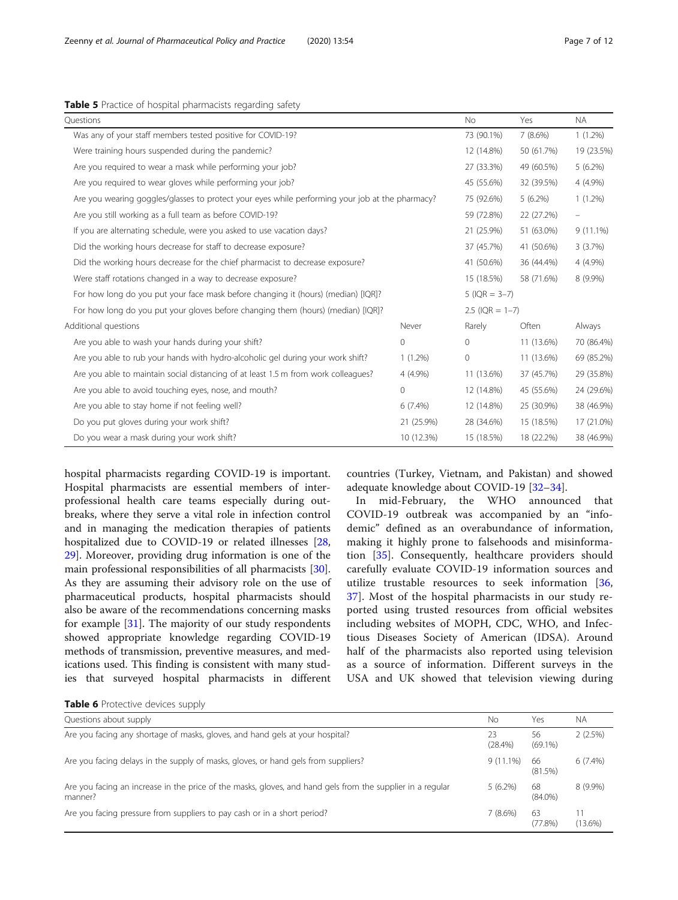#### <span id="page-6-0"></span>Table 5 Practice of hospital pharmacists regarding safety

| Questions                                                                                       |            | No.        | Yes               | <b>NA</b>   |
|-------------------------------------------------------------------------------------------------|------------|------------|-------------------|-------------|
| Was any of your staff members tested positive for COVID-19?                                     |            |            | 7(8.6%)           | $1(1.2\%)$  |
| Were training hours suspended during the pandemic?                                              |            | 12 (14.8%) | 50 (61.7%)        | 19 (23.5%)  |
| Are you required to wear a mask while performing your job?                                      |            | 27 (33.3%) | 49 (60.5%)        | $5(6.2\%)$  |
| Are you required to wear gloves while performing your job?                                      |            | 45 (55.6%) | 32 (39.5%)        | 4 (4.9%)    |
| Are you wearing goggles/glasses to protect your eyes while performing your job at the pharmacy? |            | 75 (92.6%) | 5(6.2%)           | $1(1.2\%)$  |
| Are you still working as a full team as before COVID-19?                                        |            | 59 (72.8%) | 22 (27.2%)        | -           |
| If you are alternating schedule, were you asked to use vacation days?                           |            | 21 (25.9%) | 51 (63.0%)        | $9(11.1\%)$ |
| Did the working hours decrease for staff to decrease exposure?                                  |            | 37 (45.7%) | 41 (50.6%)        | 3(3.7%)     |
| Did the working hours decrease for the chief pharmacist to decrease exposure?                   | 41 (50.6%) | 36 (44.4%) | 4 (4.9%)          |             |
| Were staff rotations changed in a way to decrease exposure?                                     | 15 (18.5%) | 58 (71.6%) | 8 (9.9%)          |             |
| For how long do you put your face mask before changing it (hours) (median) [IQR]?               |            |            | $5$ (IQR = 3-7)   |             |
| For how long do you put your gloves before changing them (hours) (median) [IQR]?                |            |            | $2.5$ (IQR = 1-7) |             |
| Additional questions                                                                            | Never      | Rarely     | Often             | Always      |
| Are you able to wash your hands during your shift?                                              | 0          | $\circ$    | 11 (13.6%)        | 70 (86.4%)  |
| Are you able to rub your hands with hydro-alcoholic gel during your work shift?                 | $1(1.2\%)$ | 0          | 11 (13.6%)        | 69 (85.2%)  |
| Are you able to maintain social distancing of at least 1.5 m from work colleagues?              | 4 (4.9%)   |            |                   |             |
| Are you able to avoid touching eyes, nose, and mouth?<br>0                                      |            |            | 45 (55.6%)        | 24 (29.6%)  |
| Are you able to stay home if not feeling well?                                                  | $6(7.4\%)$ | 12 (14.8%) | 25 (30.9%)        | 38 (46.9%)  |
| Do you put gloves during your work shift?                                                       | 21 (25.9%) | 28 (34.6%) | 15 (18.5%)        | 17 (21.0%)  |
| Do you wear a mask during your work shift?                                                      | 15 (18.5%) | 18 (22.2%) | 38 (46.9%)        |             |

hospital pharmacists regarding COVID-19 is important. Hospital pharmacists are essential members of interprofessional health care teams especially during outbreaks, where they serve a vital role in infection control and in managing the medication therapies of patients hospitalized due to COVID-19 or related illnesses [[28](#page-11-0), [29\]](#page-11-0). Moreover, providing drug information is one of the main professional responsibilities of all pharmacists [\[30](#page-11-0)]. As they are assuming their advisory role on the use of pharmaceutical products, hospital pharmacists should also be aware of the recommendations concerning masks for example [\[31\]](#page-11-0). The majority of our study respondents showed appropriate knowledge regarding COVID-19 methods of transmission, preventive measures, and medications used. This finding is consistent with many studies that surveyed hospital pharmacists in different

countries (Turkey, Vietnam, and Pakistan) and showed adequate knowledge about COVID-19 [[32](#page-11-0)–[34](#page-11-0)].

In mid-February, the WHO announced that COVID-19 outbreak was accompanied by an "infodemic" defined as an overabundance of information, making it highly prone to falsehoods and misinformation [[35\]](#page-11-0). Consequently, healthcare providers should carefully evaluate COVID-19 information sources and utilize trustable resources to seek information [\[36](#page-11-0), [37\]](#page-11-0). Most of the hospital pharmacists in our study reported using trusted resources from official websites including websites of MOPH, CDC, WHO, and Infectious Diseases Society of American (IDSA). Around half of the pharmacists also reported using television as a source of information. Different surveys in the USA and UK showed that television viewing during

| Questions about supply                                                                                                | Nο               | Yes              | N.               |
|-----------------------------------------------------------------------------------------------------------------------|------------------|------------------|------------------|
| Are you facing any shortage of masks, gloves, and hand gels at your hospital?                                         | 23<br>$(28.4\%)$ | 56<br>$(69.1\%)$ | 2(2.5%)          |
| Are you facing delays in the supply of masks, gloves, or hand gels from suppliers?                                    | $9(11.1\%)$      | 66<br>(81.5%)    | $6(7.4\%)$       |
| Are you facing an increase in the price of the masks, gloves, and hand gels from the supplier in a regular<br>manner? | $5(6.2\%)$       | 68<br>$(84.0\%)$ | $8(9.9\%)$       |
| Are you facing pressure from suppliers to pay cash or in a short period?                                              | $7(8.6\%)$       | 63<br>(77.8%)    | 11<br>$(13.6\%)$ |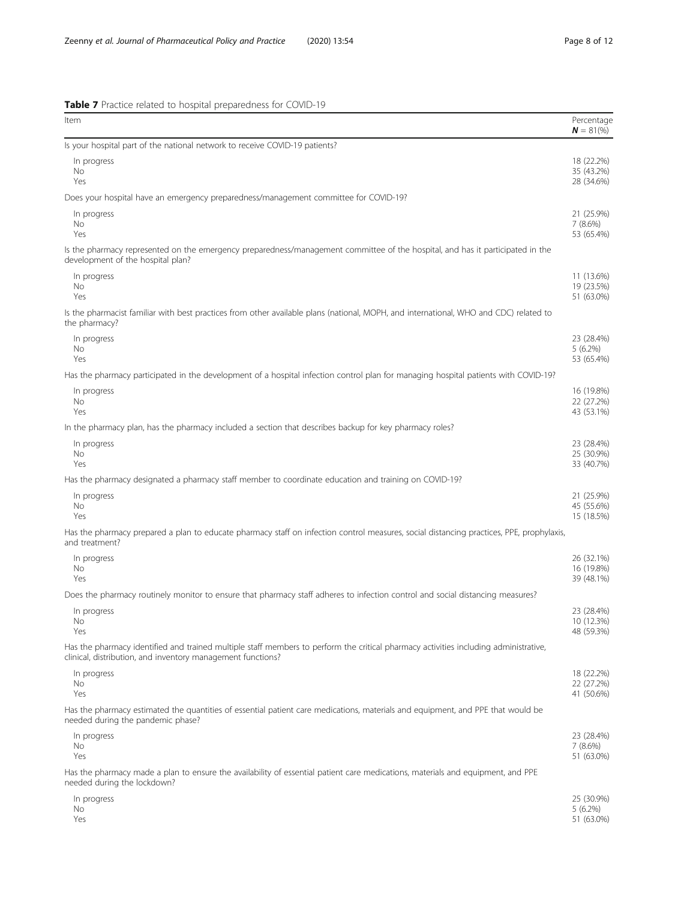<span id="page-7-0"></span>Table 7 Practice related to hospital preparedness for COVID-19

| Item                                                                                                                                                                                                | Percentage<br>$N = 81\%$               |
|-----------------------------------------------------------------------------------------------------------------------------------------------------------------------------------------------------|----------------------------------------|
| Is your hospital part of the national network to receive COVID-19 patients?                                                                                                                         |                                        |
| In progress<br>No.<br>Yes                                                                                                                                                                           | 18 (22.2%)<br>35 (43.2%)<br>28 (34.6%) |
| Does your hospital have an emergency preparedness/management committee for COVID-19?                                                                                                                |                                        |
| In progress<br>No<br>Yes                                                                                                                                                                            | 21 (25.9%)<br>7(8.6%)<br>53 (65.4%)    |
| Is the pharmacy represented on the emergency preparedness/management committee of the hospital, and has it participated in the<br>development of the hospital plan?                                 |                                        |
| In progress<br>No<br>Yes                                                                                                                                                                            | 11 (13.6%)<br>19 (23.5%)<br>51 (63.0%) |
| Is the pharmacist familiar with best practices from other available plans (national, MOPH, and international, WHO and CDC) related to<br>the pharmacy?                                              |                                        |
| In progress<br>No<br>Yes                                                                                                                                                                            | 23 (28.4%)<br>$5(6.2\%)$<br>53 (65.4%) |
| Has the pharmacy participated in the development of a hospital infection control plan for managing hospital patients with COVID-19?                                                                 |                                        |
| In progress<br>No<br>Yes                                                                                                                                                                            | 16 (19.8%)<br>22 (27.2%)<br>43 (53.1%) |
| In the pharmacy plan, has the pharmacy included a section that describes backup for key pharmacy roles?                                                                                             |                                        |
| In progress<br>No<br>Yes                                                                                                                                                                            | 23 (28.4%)<br>25 (30.9%)<br>33 (40.7%) |
| Has the pharmacy designated a pharmacy staff member to coordinate education and training on COVID-19?                                                                                               |                                        |
| In progress<br>No<br>Yes                                                                                                                                                                            | 21 (25.9%)<br>45 (55.6%)<br>15 (18.5%) |
| Has the pharmacy prepared a plan to educate pharmacy staff on infection control measures, social distancing practices, PPE, prophylaxis,<br>and treatment?                                          |                                        |
| In progress<br>No<br>Yes                                                                                                                                                                            | 26 (32.1%)<br>16 (19.8%)<br>39 (48.1%) |
| Does the pharmacy routinely monitor to ensure that pharmacy staff adheres to infection control and social distancing measures?                                                                      |                                        |
| In progress<br>No<br>Yes                                                                                                                                                                            | 23 (28.4%)<br>10 (12.3%)<br>48 (59.3%) |
| Has the pharmacy identified and trained multiple staff members to perform the critical pharmacy activities including administrative,<br>clinical, distribution, and inventory management functions? |                                        |
| In progress<br>No<br>Yes                                                                                                                                                                            | 18 (22.2%)<br>22 (27.2%)<br>41 (50.6%) |
| Has the pharmacy estimated the quantities of essential patient care medications, materials and equipment, and PPE that would be<br>needed during the pandemic phase?                                |                                        |
| In progress<br>No<br>Yes                                                                                                                                                                            | 23 (28.4%)<br>$7(8.6\%)$<br>51 (63.0%) |
| Has the pharmacy made a plan to ensure the availability of essential patient care medications, materials and equipment, and PPE<br>needed during the lockdown?                                      |                                        |
| In progress<br>No.<br>Yes                                                                                                                                                                           | 25 (30.9%)<br>$5(6.2\%)$<br>51 (63.0%) |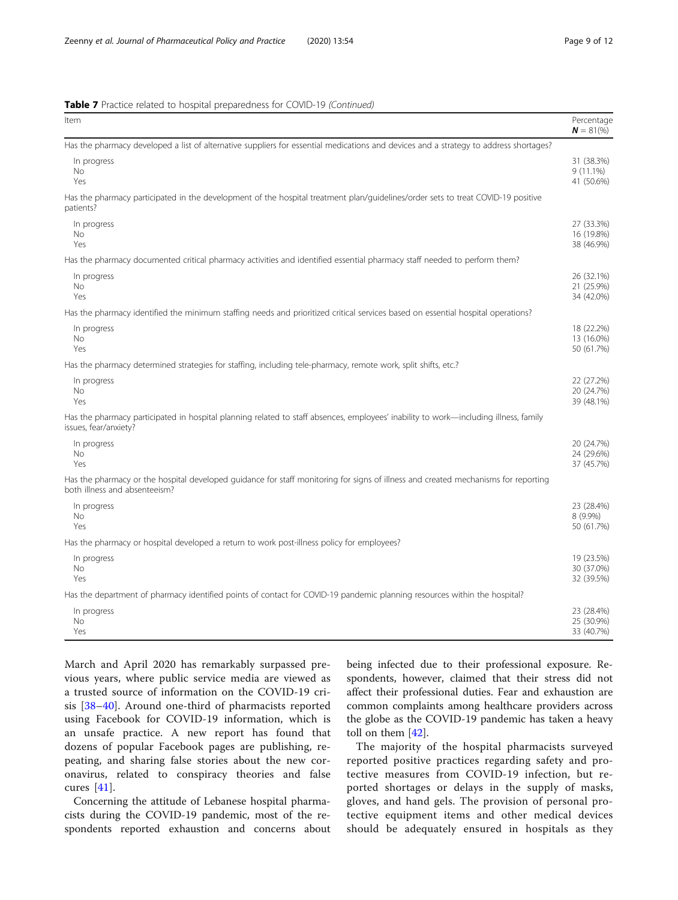|  |  | <b>Table 7</b> Practice related to hospital preparedness for COVID-19 (Continued) |  |  |
|--|--|-----------------------------------------------------------------------------------|--|--|
|  |  |                                                                                   |  |  |

| Item                                                                                                                                                                | Percentage<br>$N = 81\%$                |
|---------------------------------------------------------------------------------------------------------------------------------------------------------------------|-----------------------------------------|
| Has the pharmacy developed a list of alternative suppliers for essential medications and devices and a strategy to address shortages?                               |                                         |
| In progress<br><b>No</b><br>Yes                                                                                                                                     | 31 (38.3%)<br>$9(11.1\%)$<br>41 (50.6%) |
| Has the pharmacy participated in the development of the hospital treatment plan/guidelines/order sets to treat COVID-19 positive<br>patients?                       |                                         |
| In progress<br>No<br>Yes                                                                                                                                            | 27 (33.3%)<br>16 (19.8%)<br>38 (46.9%)  |
| Has the pharmacy documented critical pharmacy activities and identified essential pharmacy staff needed to perform them?                                            |                                         |
| In progress<br>No<br>Yes                                                                                                                                            | 26 (32.1%)<br>21 (25.9%)<br>34 (42.0%)  |
| Has the pharmacy identified the minimum staffing needs and prioritized critical services based on essential hospital operations?                                    |                                         |
| In progress<br>No<br>Yes                                                                                                                                            | 18 (22.2%)<br>13 (16.0%)<br>50 (61.7%)  |
| Has the pharmacy determined strategies for staffing, including tele-pharmacy, remote work, split shifts, etc.?                                                      |                                         |
| In progress<br><b>No</b><br>Yes                                                                                                                                     | 22 (27.2%)<br>20 (24.7%)<br>39 (48.1%)  |
| Has the pharmacy participated in hospital planning related to staff absences, employees' inability to work—including illness, family<br>issues, fear/anxiety?       |                                         |
| In progress<br>No<br>Yes                                                                                                                                            | 20 (24.7%)<br>24 (29.6%)<br>37 (45.7%)  |
| Has the pharmacy or the hospital developed guidance for staff monitoring for signs of illness and created mechanisms for reporting<br>both illness and absenteeism? |                                         |
| In progress<br><b>No</b><br>Yes                                                                                                                                     | 23 (28.4%)<br>8 (9.9%)<br>50 (61.7%)    |
| Has the pharmacy or hospital developed a return to work post-illness policy for employees?                                                                          |                                         |
| In progress<br>No<br>Yes                                                                                                                                            | 19 (23.5%)<br>30 (37.0%)<br>32 (39.5%)  |
| Has the department of pharmacy identified points of contact for COVID-19 pandemic planning resources within the hospital?                                           |                                         |
| In progress<br><b>No</b><br>Yes                                                                                                                                     | 23 (28.4%)<br>25 (30.9%)<br>33 (40.7%)  |

March and April 2020 has remarkably surpassed previous years, where public service media are viewed as a trusted source of information on the COVID-19 crisis [\[38](#page-11-0)–[40](#page-11-0)]. Around one-third of pharmacists reported using Facebook for COVID-19 information, which is an unsafe practice. A new report has found that dozens of popular Facebook pages are publishing, repeating, and sharing false stories about the new coronavirus, related to conspiracy theories and false cures [[41\]](#page-11-0).

Concerning the attitude of Lebanese hospital pharmacists during the COVID-19 pandemic, most of the respondents reported exhaustion and concerns about being infected due to their professional exposure. Respondents, however, claimed that their stress did not affect their professional duties. Fear and exhaustion are common complaints among healthcare providers across the globe as the COVID-19 pandemic has taken a heavy toll on them [[42\]](#page-11-0).

The majority of the hospital pharmacists surveyed reported positive practices regarding safety and protective measures from COVID-19 infection, but reported shortages or delays in the supply of masks, gloves, and hand gels. The provision of personal protective equipment items and other medical devices should be adequately ensured in hospitals as they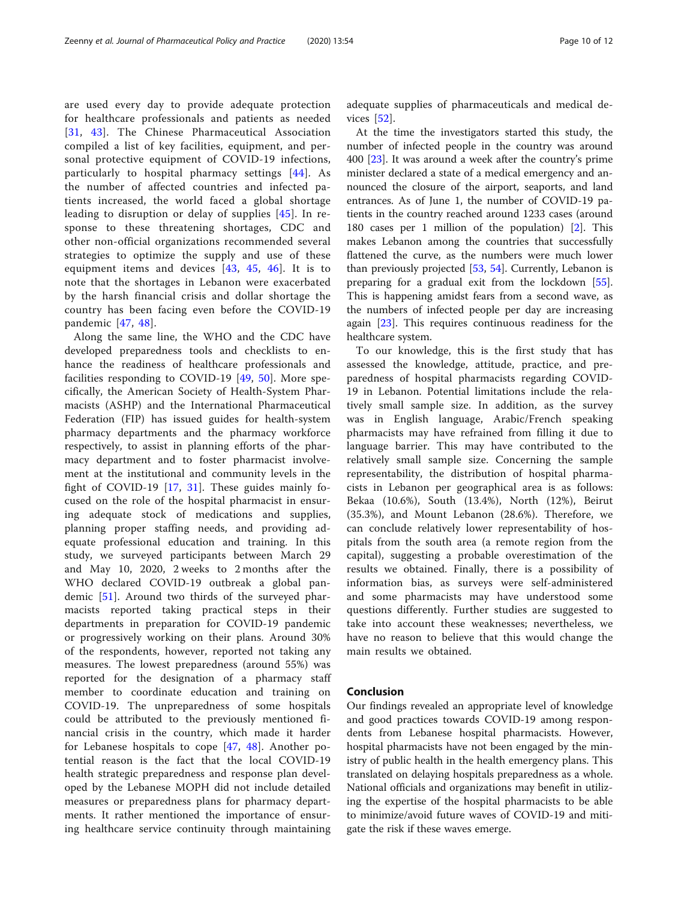are used every day to provide adequate protection for healthcare professionals and patients as needed [[31](#page-11-0), [43](#page-11-0)]. The Chinese Pharmaceutical Association compiled a list of key facilities, equipment, and personal protective equipment of COVID-19 infections, particularly to hospital pharmacy settings [\[44](#page-11-0)]. As the number of affected countries and infected patients increased, the world faced a global shortage leading to disruption or delay of supplies [\[45\]](#page-11-0). In response to these threatening shortages, CDC and other non-official organizations recommended several strategies to optimize the supply and use of these equipment items and devices [\[43](#page-11-0), [45,](#page-11-0) [46](#page-11-0)]. It is to note that the shortages in Lebanon were exacerbated by the harsh financial crisis and dollar shortage the country has been facing even before the COVID-19 pandemic [\[47](#page-11-0), [48\]](#page-11-0).

Along the same line, the WHO and the CDC have developed preparedness tools and checklists to enhance the readiness of healthcare professionals and facilities responding to COVID-19 [[49,](#page-11-0) [50](#page-11-0)]. More specifically, the American Society of Health-System Pharmacists (ASHP) and the International Pharmaceutical Federation (FIP) has issued guides for health-system pharmacy departments and the pharmacy workforce respectively, to assist in planning efforts of the pharmacy department and to foster pharmacist involvement at the institutional and community levels in the fight of COVID-19 [\[17](#page-10-0), [31](#page-11-0)]. These guides mainly focused on the role of the hospital pharmacist in ensuring adequate stock of medications and supplies, planning proper staffing needs, and providing adequate professional education and training. In this study, we surveyed participants between March 29 and May 10, 2020, 2 weeks to 2 months after the WHO declared COVID-19 outbreak a global pandemic [[51\]](#page-11-0). Around two thirds of the surveyed pharmacists reported taking practical steps in their departments in preparation for COVID-19 pandemic or progressively working on their plans. Around 30% of the respondents, however, reported not taking any measures. The lowest preparedness (around 55%) was reported for the designation of a pharmacy staff member to coordinate education and training on COVID-19. The unpreparedness of some hospitals could be attributed to the previously mentioned financial crisis in the country, which made it harder for Lebanese hospitals to cope [\[47](#page-11-0), [48](#page-11-0)]. Another potential reason is the fact that the local COVID-19 health strategic preparedness and response plan developed by the Lebanese MOPH did not include detailed measures or preparedness plans for pharmacy departments. It rather mentioned the importance of ensuring healthcare service continuity through maintaining

adequate supplies of pharmaceuticals and medical devices [[52\]](#page-11-0).

At the time the investigators started this study, the number of infected people in the country was around 400 [[23\]](#page-10-0). It was around a week after the country's prime minister declared a state of a medical emergency and announced the closure of the airport, seaports, and land entrances. As of June 1, the number of COVID-19 patients in the country reached around 1233 cases (around 180 cases per 1 million of the population) [\[2](#page-10-0)]. This makes Lebanon among the countries that successfully flattened the curve, as the numbers were much lower than previously projected  $[53, 54]$  $[53, 54]$  $[53, 54]$  $[53, 54]$ . Currently, Lebanon is preparing for a gradual exit from the lockdown [\[55](#page-11-0)]. This is happening amidst fears from a second wave, as the numbers of infected people per day are increasing again [\[23](#page-10-0)]. This requires continuous readiness for the healthcare system.

To our knowledge, this is the first study that has assessed the knowledge, attitude, practice, and preparedness of hospital pharmacists regarding COVID-19 in Lebanon. Potential limitations include the relatively small sample size. In addition, as the survey was in English language, Arabic/French speaking pharmacists may have refrained from filling it due to language barrier. This may have contributed to the relatively small sample size. Concerning the sample representability, the distribution of hospital pharmacists in Lebanon per geographical area is as follows: Bekaa (10.6%), South (13.4%), North (12%), Beirut (35.3%), and Mount Lebanon (28.6%). Therefore, we can conclude relatively lower representability of hospitals from the south area (a remote region from the capital), suggesting a probable overestimation of the results we obtained. Finally, there is a possibility of information bias, as surveys were self-administered and some pharmacists may have understood some questions differently. Further studies are suggested to take into account these weaknesses; nevertheless, we have no reason to believe that this would change the main results we obtained.

#### Conclusion

Our findings revealed an appropriate level of knowledge and good practices towards COVID-19 among respondents from Lebanese hospital pharmacists. However, hospital pharmacists have not been engaged by the ministry of public health in the health emergency plans. This translated on delaying hospitals preparedness as a whole. National officials and organizations may benefit in utilizing the expertise of the hospital pharmacists to be able to minimize/avoid future waves of COVID-19 and mitigate the risk if these waves emerge.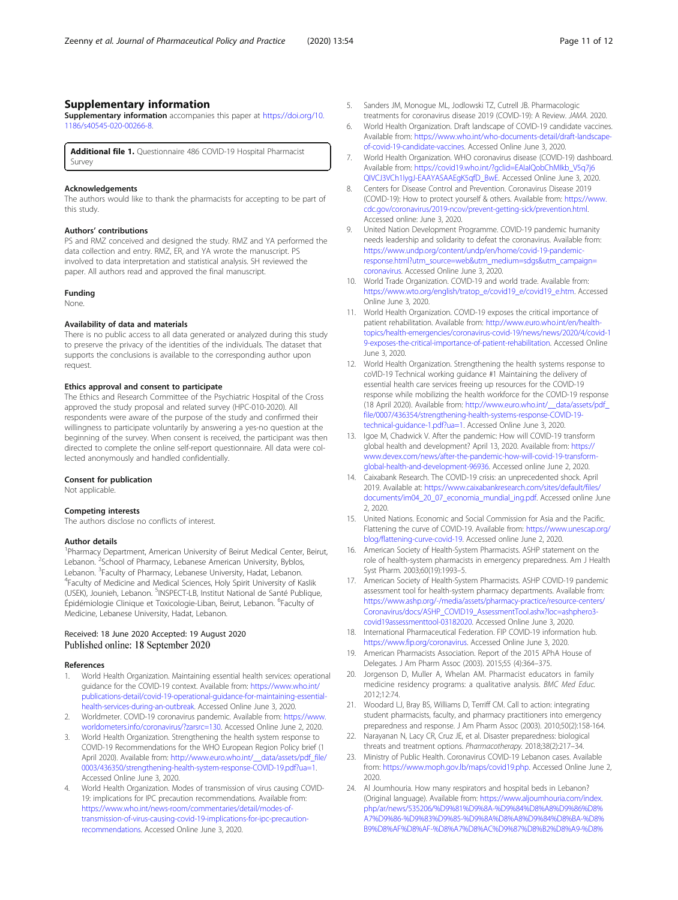#### <span id="page-10-0"></span>Supplementary information

Supplementary information accompanies this paper at [https://doi.org/10.](https://doi.org/10.1186/s40545-020-00266-8) [1186/s40545-020-00266-8](https://doi.org/10.1186/s40545-020-00266-8).

Additional file 1. Questionnaire 486 COVID-19 Hospital Pharmacist Survey

#### Acknowledgements

The authors would like to thank the pharmacists for accepting to be part of this study.

#### Authors' contributions

PS and RMZ conceived and designed the study. RMZ and YA performed the data collection and entry. RMZ, ER, and YA wrote the manuscript. PS involved to data interpretation and statistical analysis. SH reviewed the paper. All authors read and approved the final manuscript.

#### Funding

None.

#### Availability of data and materials

There is no public access to all data generated or analyzed during this study to preserve the privacy of the identities of the individuals. The dataset that supports the conclusions is available to the corresponding author upon request.

#### Ethics approval and consent to participate

The Ethics and Research Committee of the Psychiatric Hospital of the Cross approved the study proposal and related survey (HPC-010-2020). All respondents were aware of the purpose of the study and confirmed their willingness to participate voluntarily by answering a yes-no question at the beginning of the survey. When consent is received, the participant was then directed to complete the online self-report questionnaire. All data were collected anonymously and handled confidentially.

#### Consent for publication

Not applicable.

#### Competing interests

The authors disclose no conflicts of interest.

#### Author details

<sup>1</sup>Pharmacy Department, American University of Beirut Medical Center, Beirut, Lebanon. <sup>2</sup>School of Pharmacy, Lebanese American University, Byblos, Lebanon. <sup>3</sup>Faculty of Pharmacy, Lebanese University, Hadat, Lebanon.<br><sup>4</sup>Faculty of Medicine and Medical Sciences. Holy Spirit University of K <sup>4</sup>Faculty of Medicine and Medical Sciences, Holy Spirit University of Kaslik (USEK), Jounieh, Lebanon. <sup>5</sup>INSPECT-LB, Institut National de Santé Publique, Épidémiologie Clinique et Toxicologie-Liban, Beirut, Lebanon. <sup>6</sup>Faculty of Medicine, Lebanese University, Hadat, Lebanon.

#### Received: 18 June 2020 Accepted: 19 August 2020 Published online: 18 September 2020

#### References

- 1. World Health Organization. Maintaining essential health services: operational guidance for the COVID-19 context. Available from: [https://www.who.int/](https://www.who.int/publications-detail/covid-19-operational-guidance-for-maintaining-essential-health-services-during-an-outbreak) [publications-detail/covid-19-operational-guidance-for-maintaining-essential](https://www.who.int/publications-detail/covid-19-operational-guidance-for-maintaining-essential-health-services-during-an-outbreak)[health-services-during-an-outbreak.](https://www.who.int/publications-detail/covid-19-operational-guidance-for-maintaining-essential-health-services-during-an-outbreak) Accessed Online June 3, 2020.
- 2. Worldmeter. COVID-19 coronavirus pandemic. Available from: [https://www.](https://www.worldometers.info/coronavirus/?zarsrc=130) [worldometers.info/coronavirus/?zarsrc=130](https://www.worldometers.info/coronavirus/?zarsrc=130). Accessed Online June 2, 2020.
- 3. World Health Organization. Strengthening the health system response to COVID-19 Recommendations for the WHO European Region Policy brief (1 April 2020). Available from: [http://www.euro.who.int/\\_\\_data/assets/pdf\\_file/](http://www.euro.who.int/__data/assets/pdf_file/0003/436350/strengthening-health-system-response-COVID-19.pdf?ua=1) [0003/436350/strengthening-health-system-response-COVID-19.pdf?ua=1](http://www.euro.who.int/__data/assets/pdf_file/0003/436350/strengthening-health-system-response-COVID-19.pdf?ua=1). Accessed Online June 3, 2020.
- 4. World Health Organization. Modes of transmission of virus causing COVID-19: implications for IPC precaution recommendations. Available from: [https://www.who.int/news-room/commentaries/detail/modes-of](https://www.who.int/news-room/commentaries/detail/modes-of-transmission-of-virus-causing-covid-19-implications-for-ipc-precaution-recommendations)[transmission-of-virus-causing-covid-19-implications-for-ipc-precaution](https://www.who.int/news-room/commentaries/detail/modes-of-transmission-of-virus-causing-covid-19-implications-for-ipc-precaution-recommendations)[recommendations.](https://www.who.int/news-room/commentaries/detail/modes-of-transmission-of-virus-causing-covid-19-implications-for-ipc-precaution-recommendations) Accessed Online June 3, 2020.
- 5. Sanders JM, Monogue ML, Jodlowski TZ, Cutrell JB. Pharmacologic treatments for coronavirus disease 2019 (COVID-19): A Review. JAMA. 2020.
- 6. World Health Organization. Draft landscape of COVID-19 candidate vaccines. Available from: [https://www.who.int/who-documents-detail/draft-landscape](https://www.who.int/who-documents-detail/draft-landscape-of-covid-19-candidate-vaccines)[of-covid-19-candidate-vaccines.](https://www.who.int/who-documents-detail/draft-landscape-of-covid-19-candidate-vaccines) Accessed Online June 3, 2020.
- 7. World Health Organization. WHO coronavirus disease (COVID-19) dashboard. Available from: [https://covid19.who.int/?gclid=EAIaIQobChMIkb\\_V5q7j6](https://covid19.who.int/?gclid=EAIaIQobChMIkb_V5q7j6QIVCJ3VCh1lygJ-EAAYASAAEgK5qfD_BwE) [QIVCJ3VCh1lygJ-EAAYASAAEgK5qfD\\_BwE.](https://covid19.who.int/?gclid=EAIaIQobChMIkb_V5q7j6QIVCJ3VCh1lygJ-EAAYASAAEgK5qfD_BwE) Accessed Online June 3, 2020.
- 8. Centers for Disease Control and Prevention. Coronavirus Disease 2019 (COVID-19): How to protect yourself & others. Available from: [https://www.](https://www.cdc.gov/coronavirus/2019-ncov/prevent-getting-sick/prevention.html) [cdc.gov/coronavirus/2019-ncov/prevent-getting-sick/prevention.html](https://www.cdc.gov/coronavirus/2019-ncov/prevent-getting-sick/prevention.html). Accessed online: June 3, 2020.
- 9. United Nation Development Programme. COVID-19 pandemic humanity needs leadership and solidarity to defeat the coronavirus. Available from: [https://www.undp.org/content/undp/en/home/covid-19-pandemic](https://www.undp.org/content/undp/en/home/covid-19-pandemic-response.html?utm_source=web&utm_medium=sdgs&utm_campaign=coronavirus)[response.html?utm\\_source=web&utm\\_medium=sdgs&utm\\_campaign=](https://www.undp.org/content/undp/en/home/covid-19-pandemic-response.html?utm_source=web&utm_medium=sdgs&utm_campaign=coronavirus) [coronavirus.](https://www.undp.org/content/undp/en/home/covid-19-pandemic-response.html?utm_source=web&utm_medium=sdgs&utm_campaign=coronavirus) Accessed Online June 3, 2020.
- 10. World Trade Organization. COVID-19 and world trade. Available from: [https://www.wto.org/english/tratop\\_e/covid19\\_e/covid19\\_e.htm.](https://www.wto.org/english/tratop_e/covid19_e/covid19_e.htm) Accessed Online June 3, 2020.
- 11. World Health Organization. COVID-19 exposes the critical importance of patient rehabilitation. Available from: [http://www.euro.who.int/en/health](http://www.euro.who.int/en/health-topics/health-emergencies/coronavirus-covid-19/news/news/2020/4/covid-19-exposes-the-critical-importance-of-patient-rehabilitation)[topics/health-emergencies/coronavirus-covid-19/news/news/2020/4/covid-1](http://www.euro.who.int/en/health-topics/health-emergencies/coronavirus-covid-19/news/news/2020/4/covid-19-exposes-the-critical-importance-of-patient-rehabilitation) [9-exposes-the-critical-importance-of-patient-rehabilitation](http://www.euro.who.int/en/health-topics/health-emergencies/coronavirus-covid-19/news/news/2020/4/covid-19-exposes-the-critical-importance-of-patient-rehabilitation). Accessed Online June 3, 2020.
- 12. World Health Organization. Strengthening the health systems response to coVID-19 Technical working guidance #1 Maintaining the delivery of essential health care services freeing up resources for the COVID-19 response while mobilizing the health workforce for the COVID-19 response (18 April 2020). Available from: [http://www.euro.who.int/\\_\\_data/assets/pdf\\_](http://www.euro.who.int/__data/assets/pdf_file/0007/436354/strengthening-health-systems-response-COVID-19-technical-guidance-1.pdf?ua=1) [file/0007/436354/strengthening-health-systems-response-COVID-19](http://www.euro.who.int/__data/assets/pdf_file/0007/436354/strengthening-health-systems-response-COVID-19-technical-guidance-1.pdf?ua=1) [technical-guidance-1.pdf?ua=1](http://www.euro.who.int/__data/assets/pdf_file/0007/436354/strengthening-health-systems-response-COVID-19-technical-guidance-1.pdf?ua=1). Accessed Online June 3, 2020.
- 13. Igoe M, Chadwick V. After the pandemic: How will COVID-19 transform global health and development? April 13, 2020. Available from: [https://](https://www.devex.com/news/after-the-pandemic-how-will-covid-19-transform-global-health-and-development-96936) [www.devex.com/news/after-the-pandemic-how-will-covid-19-transform](https://www.devex.com/news/after-the-pandemic-how-will-covid-19-transform-global-health-and-development-96936)[global-health-and-development-96936.](https://www.devex.com/news/after-the-pandemic-how-will-covid-19-transform-global-health-and-development-96936) Accessed online June 2, 2020.
- 14. Caixabank Research. The COVID-19 crisis: an unprecedented shock. April 2019. Available at: [https://www.caixabankresearch.com/sites/default/files/](https://www.caixabankresearch.com/sites/default/files/documents/im04_20_07_economia_mundial_ing.pdf) [documents/im04\\_20\\_07\\_economia\\_mundial\\_ing.pdf](https://www.caixabankresearch.com/sites/default/files/documents/im04_20_07_economia_mundial_ing.pdf). Accessed online June 2, 2020.
- 15. United Nations. Economic and Social Commission for Asia and the Pacific. Flattening the curve of COVID-19. Available from: [https://www.unescap.org/](https://www.unescap.org/blog/flattening-curve-covid-19) [blog/flattening-curve-covid-19](https://www.unescap.org/blog/flattening-curve-covid-19). Accessed online June 2, 2020.
- 16. American Society of Health-System Pharmacists. ASHP statement on the role of health-system pharmacists in emergency preparedness. Am J Health Syst Pharm. 2003;60(19):1993–5.
- 17. American Society of Health-System Pharmacists. ASHP COVID-19 pandemic assessment tool for health-system pharmacy departments. Available from: [https://www.ashp.org/-/media/assets/pharmacy-practice/resource-centers/](https://www.ashp.org/-/media/assets/pharmacy-practice/resource-centers/Coronavirus/docs/ASHP_COVID19_AssessmentTool.ashx?loc=ashphero3-covid19assessmenttool-03182020) [Coronavirus/docs/ASHP\\_COVID19\\_AssessmentTool.ashx?loc=ashphero3](https://www.ashp.org/-/media/assets/pharmacy-practice/resource-centers/Coronavirus/docs/ASHP_COVID19_AssessmentTool.ashx?loc=ashphero3-covid19assessmenttool-03182020) [covid19assessmenttool-03182020.](https://www.ashp.org/-/media/assets/pharmacy-practice/resource-centers/Coronavirus/docs/ASHP_COVID19_AssessmentTool.ashx?loc=ashphero3-covid19assessmenttool-03182020) Accessed Online June 3, 2020.
- 18. International Pharmaceutical Federation. FIP COVID-19 information hub. <https://www.fip.org/coronavirus>. Accessed Online June 3, 2020.
- 19. American Pharmacists Association. Report of the 2015 APhA House of Delegates. J Am Pharm Assoc (2003). 2015;55 (4):364–375.
- 20. Jorgenson D, Muller A, Whelan AM. Pharmacist educators in family medicine residency programs: a qualitative analysis. BMC Med Educ. 2012;12:74.
- 21. Woodard LJ, Bray BS, Williams D, Terriff CM. Call to action: integrating student pharmacists, faculty, and pharmacy practitioners into emergency preparedness and response. J Am Pharm Assoc (2003). 2010;50(2):158-164.
- 22. Narayanan N, Lacy CR, Cruz JE, et al. Disaster preparedness: biological threats and treatment options. Pharmacotherapy. 2018;38(2):217–34.
- 23. Ministry of Public Health. Coronavirus COVID-19 Lebanon cases. Available from: [https://www.moph.gov.lb/maps/covid19.php.](https://www.moph.gov.lb/maps/covid19.php) Accessed Online June 2, 2020.
- 24. Al Joumhouria. How many respirators and hospital beds in Lebanon? (Original language). Available from: [https://www.aljoumhouria.com/index.](https://www.aljoumhouria.com/index.php/ar/news/535206/%D9%81%D9%8A-%D9%84%D8%A8%D9%86%D8%A7%D9%86-%D9%83%D9%85-%D9%8A%D8%A8%D9%84%D8%BA-%D8%B9%D8%AF%D8%AF-%D8%A7%D8%AC%D9%87%D8%B2%D8%A9-%D8%A7%D9%84%D8%AA%D9%86%D9%81%D8%B3-%D9%88%D8%A7%D9%84%D8%A7%D8%B3%D8%B1%D8%A9-%D8%A7%D9%84%D9%85%D8%AA%D9%88%D9%81%D8%B1%D8%A9-%D9%81%D9%8A-%D8%A7%D9%84%D9%85%D8%B3%D8%AA%D8%B4%D9%81%D9%8A%D8%A7%D8%AA) [php/ar/news/535206/%D9%81%D9%8A-%D9%84%D8%A8%D9%86%D8%](https://www.aljoumhouria.com/index.php/ar/news/535206/%D9%81%D9%8A-%D9%84%D8%A8%D9%86%D8%A7%D9%86-%D9%83%D9%85-%D9%8A%D8%A8%D9%84%D8%BA-%D8%B9%D8%AF%D8%AF-%D8%A7%D8%AC%D9%87%D8%B2%D8%A9-%D8%A7%D9%84%D8%AA%D9%86%D9%81%D8%B3-%D9%88%D8%A7%D9%84%D8%A7%D8%B3%D8%B1%D8%A9-%D8%A7%D9%84%D9%85%D8%AA%D9%88%D9%81%D8%B1%D8%A9-%D9%81%D9%8A-%D8%A7%D9%84%D9%85%D8%B3%D8%AA%D8%B4%D9%81%D9%8A%D8%A7%D8%AA) [A7%D9%86-%D9%83%D9%85-%D9%8A%D8%A8%D9%84%D8%BA-%D8%](https://www.aljoumhouria.com/index.php/ar/news/535206/%D9%81%D9%8A-%D9%84%D8%A8%D9%86%D8%A7%D9%86-%D9%83%D9%85-%D9%8A%D8%A8%D9%84%D8%BA-%D8%B9%D8%AF%D8%AF-%D8%A7%D8%AC%D9%87%D8%B2%D8%A9-%D8%A7%D9%84%D8%AA%D9%86%D9%81%D8%B3-%D9%88%D8%A7%D9%84%D8%A7%D8%B3%D8%B1%D8%A9-%D8%A7%D9%84%D9%85%D8%AA%D9%88%D9%81%D8%B1%D8%A9-%D9%81%D9%8A-%D8%A7%D9%84%D9%85%D8%B3%D8%AA%D8%B4%D9%81%D9%8A%D8%A7%D8%AA) [B9%D8%AF%D8%AF-%D8%A7%D8%AC%D9%87%D8%B2%D8%A9-%D8%](https://www.aljoumhouria.com/index.php/ar/news/535206/%D9%81%D9%8A-%D9%84%D8%A8%D9%86%D8%A7%D9%86-%D9%83%D9%85-%D9%8A%D8%A8%D9%84%D8%BA-%D8%B9%D8%AF%D8%AF-%D8%A7%D8%AC%D9%87%D8%B2%D8%A9-%D8%A7%D9%84%D8%AA%D9%86%D9%81%D8%B3-%D9%88%D8%A7%D9%84%D8%A7%D8%B3%D8%B1%D8%A9-%D8%A7%D9%84%D9%85%D8%AA%D9%88%D9%81%D8%B1%D8%A9-%D9%81%D9%8A-%D8%A7%D9%84%D9%85%D8%B3%D8%AA%D8%B4%D9%81%D9%8A%D8%A7%D8%AA)